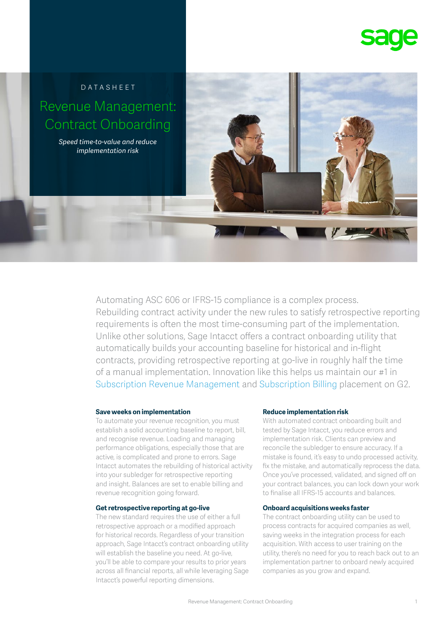



Automating ASC 606 or IFRS-15 compliance is a complex process. Rebuilding contract activity under the new rules to satisfy retrospective reporting requirements is often the most time-consuming part of the implementation. Unlike other solutions, Sage Intacct offers a contract onboarding utility that automatically builds your accounting baseline for historical and in-flight contracts, providing retrospective reporting at go-live in roughly half the time of a manual implementation. Innovation like this helps us maintain our #1 in Subscription Revenue Management and Subscription Billing placement on G2.

#### **Save weeks on implementation**

To automate your revenue recognition, you must establish a solid accounting baseline to report, bill, and recognise revenue. Loading and managing performance obligations, especially those that are active, is complicated and prone to errors. Sage Intacct automates the rebuilding of historical activity into your subledger for retrospective reporting and insight. Balances are set to enable billing and revenue recognition going forward.

### **Get retrospective reporting at go-live**

The new standard requires the use of either a full retrospective approach or a modified approach for historical records. Regardless of your transition approach, Sage Intacct's contract onboarding utility will establish the baseline you need. At go-live, you'll be able to compare your results to prior years across all financial reports, all while leveraging Sage Intacct's powerful reporting dimensions.

#### **Reduce implementation risk**

With automated contract onboarding built and tested by Sage Intacct, you reduce errors and implementation risk. Clients can preview and reconcile the subledger to ensure accuracy. If a mistake is found, it's easy to undo processed activity, fix the mistake, and automatically reprocess the data. Once you've processed, validated, and signed off on your contract balances, you can lock down your work to finalise all IFRS-15 accounts and balances.

#### **Onboard acquisitions weeks faster**

The contract onboarding utility can be used to process contracts for acquired companies as well, saving weeks in the integration process for each acquisition. With access to user training on the utility, there's no need for you to reach back out to an implementation partner to onboard newly acquired companies as you grow and expand.